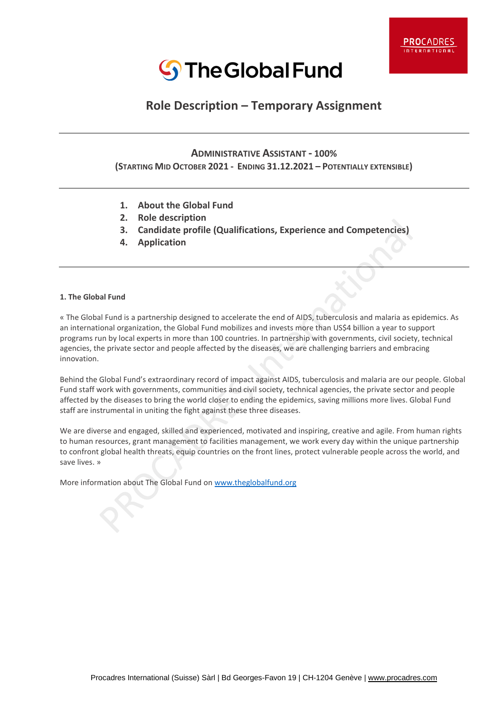

# **Role Description – Temporary Assignment**

l

 $\overline{\phantom{a}}$ 

 $\overline{\phantom{a}}$ 

## **ADMINISTRATIVE ASSISTANT - 100%**

**(STARTING MID OCTOBER 2021 - ENDING 31.12.2021 – POTENTIALLY EXTENSIBLE)**

- **1. About the Global Fund**
- **2. Role description**
- **3. Candidate profile (Qualifications, Experience and Competencies)**
- **4. Application**

#### **1. The Global Fund**

« The Global Fund is a partnership designed to accelerate the end of AIDS, tuberculosis and malaria as epidemics. As an international organization, the Global Fund mobilizes and invests more than US\$4 billion a year to support programs run by local experts in more than 100 countries. In partnership with governments, civil society, technical agencies, the private sector and people affected by the diseases, we are challenging barriers and embracing innovation.

Behind the Global Fund's extraordinary record of impact against AIDS, tuberculosis and malaria are our people. Global Fund staff work with governments, communities and civil society, technical agencies, the private sector and people affected by the diseases to bring the world closer to ending the epidemics, saving millions more lives. Global Fund staff are instrumental in uniting the fight against these three diseases.

We are diverse and engaged, skilled and experienced, motivated and inspiring, creative and agile. From human rights to human resources, grant management to facilities management, we work every day within the unique partnership to confront global health threats, equip countries on the front lines, protect vulnerable people across the world, and save lives. »

More information about The Global Fund o[n www.theglobalfund.org](http://www.theglobalfund.org/)